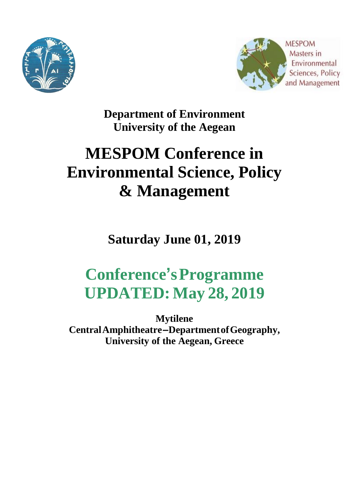



**Department of Environment University of the Aegean**

# **MESPOM Conference in Environmental Science, Policy & Management**

**Saturday June 01, 2019**

# **Conference'sProgramme UPDATED: May 28, 2019**

**Mytilene CentralAmphitheatre–DepartmentofGeography, University of the Aegean, Greece**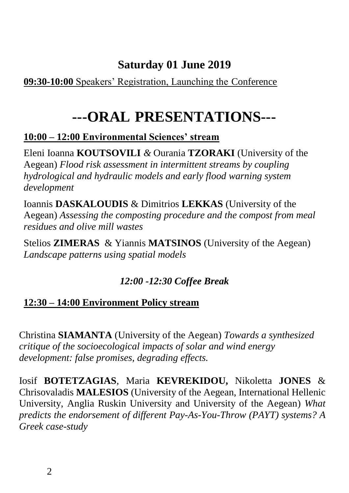## **Saturday 01 June 2019**

#### **09:30-10:00** Speakers' Registration, Launching the Conference

# **---ORAL PRESENTATIONS---**

#### **10:00 – 12:00 Environmental Sciences' stream**

Eleni Ioanna **KOUTSOVILI** *&* Ourania **TZORAKI** (University of the Aegean) *Flood risk assessment in intermittent streams by coupling hydrological and hydraulic models and early flood warning system development*

Ioannis **DASKALOUDIS** & Dimitrios **LEKKAS** (University of the Aegean) *Assessing the composting procedure and the compost from meal residues and olive mill wastes*

Stelios **ZIMERAS** & Yiannis **MATSINOS** (University of the Aegean) *Landscape patterns using spatial models*

### *12:00 -12:30 Coffee Break*

### **12:30 – 14:00 Environment Policy stream**

Christina **SIAMANTA** (University of the Aegean) *Towards a synthesized critique of the socioecological impacts of solar and wind energy development: false promises, degrading effects.*

Iosif **BOTETZAGIAS**, Maria **KEVREKIDOU,** Nikoletta **JONES** & Chrisovaladis **MALESIOS** (University of the Aegean, International Hellenic University, Anglia Ruskin University and University of the Aegean) *What predicts the endorsement of different Pay-As-You-Throw (PAYT) systems? A Greek case-study*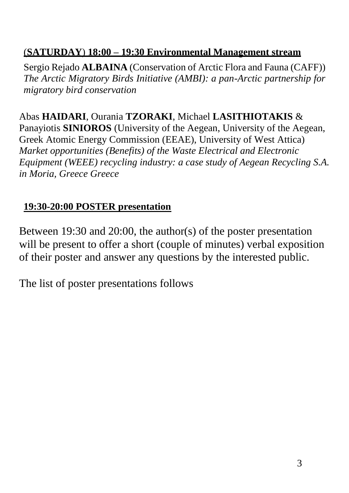#### (**SATURDAY**) **18:00 – 19:30 Environmental Management stream**

Sergio Rejado **ALBAINA** (Conservation of Arctic Flora and Fauna (CAFF)) *The Arctic Migratory Birds Initiative (AMBI): a pan-Arctic partnership for migratory bird conservation*

Abas **HAIDARI**, Ourania **TZORAKI**, Michael **LASITHIOTAKIS** & Panayiotis **SINIOROS** (University of the Aegean, University of the Aegean, Greek Atomic Energy Commission (EEAE), University of West Attica) *Market opportunities (Benefits) of the Waste Electrical and Electronic Equipment (WEEE) recycling industry: a case study of Aegean Recycling S.A. in Moria, Greece Greece*

#### **19:30-20:00 POSTER presentation**

Between 19:30 and 20:00, the author(s) of the poster presentation will be present to offer a short (couple of minutes) verbal exposition of their poster and answer any questions by the interested public.

The list of poster presentations follows